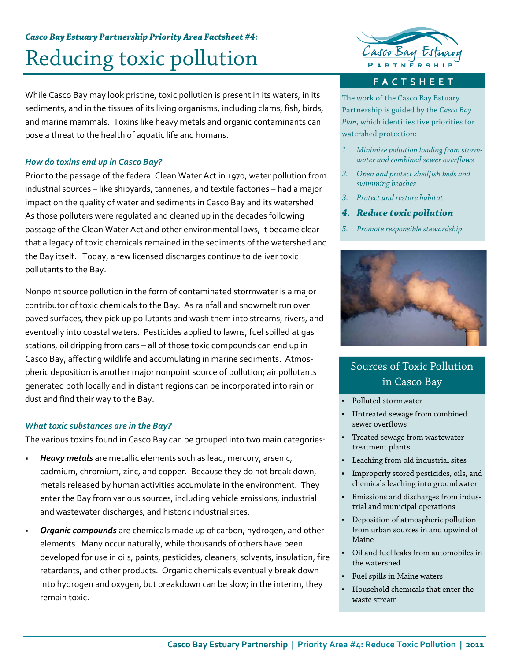# *Casco Bay Estuary Partnership Priority Area Factsheet #4:*  Reducing toxic pollution

While Casco Bay may look pristine, toxic pollution is present in its waters, in its sediments, and in the tissues of its living organisms, including clams, fish, birds, and marine mammals. Toxins like heavy metals and organic contaminants can pose a threat to the health of aquatic life and humans.

#### *How do toxins end up in Casco Bay?*

Prior to the passage of the federal Clean Water Act in 1970, water pollution from industrial sources – like shipyards, tanneries, and textile factories – had a major impact on the quality of water and sediments in Casco Bay and its watershed. As those polluters were regulated and cleaned up in the decades following passage of the Clean Water Act and other environmental laws, it became clear that a legacy of toxic chemicals remained in the sediments of the watershed and the Bay itself. Today, a few licensed discharges continue to deliver toxic pollutants to the Bay.

Nonpoint source pollution in the form of contaminated stormwater is a major contributor of toxic chemicals to the Bay. As rainfall and snowmelt run over paved surfaces, they pick up pollutants and wash them into streams, rivers, and eventually into coastal waters. Pesticides applied to lawns, fuel spilled at gas stations, oil dripping from cars – all of those toxic compounds can end up in Casco Bay, affecting wildlife and accumulating in marine sediments. Atmos‐ pheric deposition is another major nonpoint source of pollution; air pollutants generated both locally and in distant regions can be incorporated into rain or dust and find their way to the Bay.

#### *What toxic substances are in the Bay?*

The various toxins found in Casco Bay can be grouped into two main categories:

- *Heavy metals* are metallic elements such as lead, mercury, arsenic, cadmium, chromium, zinc, and copper. Because they do not break down, metals released by human activities accumulate in the environment. They enter the Bay from various sources, including vehicle emissions, industrial and wastewater discharges, and historic industrial sites.
- *Organic compounds* are chemicals made up of carbon, hydrogen, and other elements. Many occur naturally, while thousands of others have been developed for use in oils, paints, pesticides, cleaners, solvents, insulation, fire retardants, and other products. Organic chemicals eventually break down into hydrogen and oxygen, but breakdown can be slow; in the interim, they remain toxic.



#### **FACTSHEET**

The work of the Casco Bay Estuary Partnership is guided by the *Casco Bay Plan*, which identifies five priorities for watershed protection:

- *1. Minimize pollution loading from stormwater and combined sewer overflows*
- *2. Open and protect shellfish beds and swimming beaches*
- *3. Protect and restore habitat*
- *4. Reduce toxic pollution*
- *5. Promote responsible stewardship*



### Sources of Toxic Pollution in Casco Bay

- Polluted stormwater
- Untreated sewage from combined sewer overflows
- Treated sewage from wastewater treatment plants
- Leaching from old industrial sites
- Improperly stored pesticides, oils, and chemicals leaching into groundwater
- Emissions and discharges from industrial and municipal operations
- Deposition of atmospheric pollution from urban sources in and upwind of Maine
- Oil and fuel leaks from automobiles in the watershed
- Fuel spills in Maine waters
- Household chemicals that enter the waste stream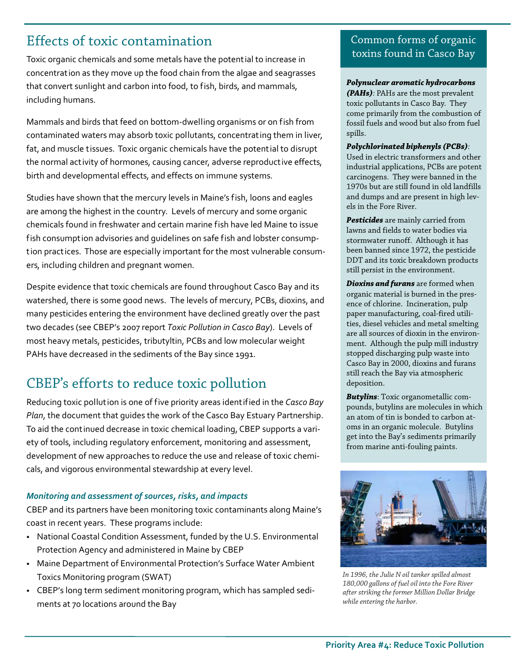# Effects of toxic contamination

Toxic organic chemicals and some metals have the potential to increase in concentration as they move up the food chain from the algae and seagrasses that convert sunlight and carbon into food, to fish, birds, and mammals, including humans.

Mammals and birds that feed on bottom‐dwelling organisms or on fish from contaminated waters may absorb toxic pollutants, concentrating them in liver, fat, and muscle tissues. Toxic organic chemicals have the potential to disrupt the normal activity of hormones, causing cancer, adverse reproductive effects, birth and developmental effects, and effects on immune systems.

Studies have shown that the mercury levels in Maine's fish, loons and eagles are among the highest in the country. Levels of mercury and some organic chemicals found in freshwater and certain marine fish have led Maine to issue fish consumption advisories and guidelines on safe fish and lobster consump‐ tion practices. Those are especially important for the most vulnerable consum‐ ers, including children and pregnant women.

Despite evidence that toxic chemicals are found throughout Casco Bay and its watershed, there is some good news. The levels of mercury, PCBs, dioxins, and many pesticides entering the environment have declined greatly over the past two decades (see CBEP's 2007 report *Toxic Pollution in Casco Bay*). Levels of most heavy metals, pesticides, tributyltin, PCBs and low molecular weight PAHs have decreased in the sediments of the Bay since 1991.

## CBEP's efforts to reduce toxic pollution

Reducing toxic pollution is one of five priority areas identified in the *Casco Bay Plan*, the document that guides the work of the Casco Bay Estuary Partnership. To aid the continued decrease in toxic chemical loading, CBEP supports a vari‐ ety of tools, including regulatory enforcement, monitoring and assessment, development of new approaches to reduce the use and release of toxic chemi‐ cals, and vigorous environmental stewardship at every level.

#### *Monitoring and assessment of sources, risks, and impacts*

CBEP and its partners have been monitoring toxic contaminants along Maine's coast in recent years. These programs include:

- National Coastal Condition Assessment, funded by the U.S. Environmental Protection Agency and administered in Maine by CBEP
- Maine Department of Environmental Protection's Surface Water Ambient Toxics Monitoring program (SWAT)
- CBEP's long term sediment monitoring program, which has sampled sedi‐ ments at 70 locations around the Bay

### Common forms of organic toxins found in Casco Bay

#### *Polynuclear aromatic hydrocarbons*

*(PAHs):* PAHs are the most prevalent toxic pollutants in Casco Bay. They come primarily from the combustion of fossil fuels and wood but also from fuel spills.

#### *Polychlorinated biphenyls (PCBs):*

Used in electric transformers and other industrial applications, PCBs are potent carcinogens. They were banned in the 1970s but are still found in old landfills and dumps and are present in high levels in the Fore River.

*Pesticides* are mainly carried from lawns and fields to water bodies via stormwater runoff. Although it has been banned since 1972, the pesticide DDT and its toxic breakdown products still persist in the environment.

*Dioxins and furans* are formed when organic material is burned in the presence of chlorine. Incineration, pulp paper manufacturing, coal-fired utilities, diesel vehicles and metal smelting are all sources of dioxin in the environment. Although the pulp mill industry stopped discharging pulp waste into Casco Bay in 2000, dioxins and furans still reach the Bay via atmospheric deposition.

*Butylins*: Toxic organometallic compounds, butylins are molecules in which an atom of tin is bonded to carbon atoms in an organic molecule. Butylins get into the Bay's sediments primarily from marine anti-fouling paints.



*In 1996, the Julie N oil tanker spilled almost 180,000 gallons of fuel oil into the Fore River after striking the former Million Dollar Bridge while entering the harbor.*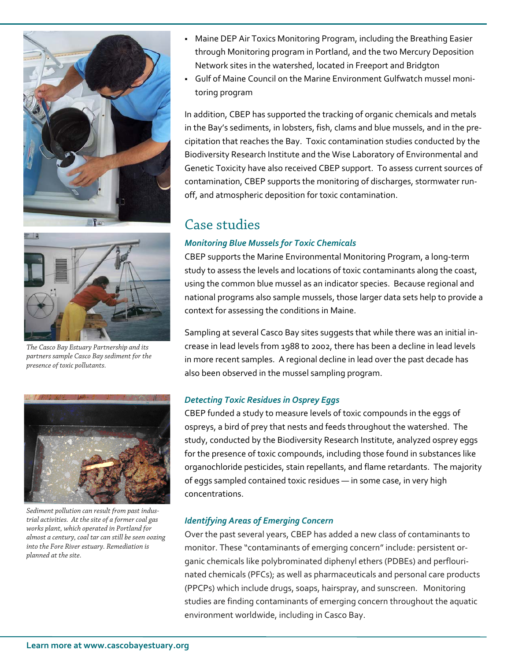



*The Casco Bay Estuary Partnership and its partners sample Casco Bay sediment for the presence of toxic pollutants.*



*Sediment pollution can result from past industrial activities. At the site of a former coal gas works plant, which operated in Portland for almost a century, coal tar can still be seen oozing into the Fore River estuary. Remediation is planned at the site.*

- Maine DEP Air Toxics Monitoring Program, including the Breathing Easier through Monitoring program in Portland, and the two Mercury Deposition Network sites in the watershed, located in Freeport and Bridgton
- Gulf of Maine Council on the Marine Environment Gulfwatch mussel moni‐ toring program

In addition, CBEP has supported the tracking of organic chemicals and metals in the Bay's sediments, in lobsters, fish, clams and blue mussels, and in the pre‐ cipitation that reaches the Bay. Toxic contamination studies conducted by the Biodiversity Research Institute and the Wise Laboratory of Environmental and Genetic Toxicity have also received CBEP support. To assess current sources of contamination, CBEP supports the monitoring of discharges, stormwater run‐ off, and atmospheric deposition for toxic contamination.

### Case studies

### *Monitoring Blue Mussels for Toxic Chemicals*

CBEP supports the Marine Environmental Monitoring Program, a long‐term study to assess the levels and locations of toxic contaminants along the coast, using the common blue mussel as an indicator species. Because regional and national programs also sample mussels, those larger data sets help to provide a context for assessing the conditions in Maine.

Sampling at several Casco Bay sites suggests that while there was an initial in‐ crease in lead levels from 1988 to 2002, there has been a decline in lead levels in more recent samples. A regional decline in lead over the past decade has also been observed in the mussel sampling program.

#### *Detecting Toxic Residues in Osprey Eggs*

CBEP funded a study to measure levels of toxic compounds in the eggs of ospreys, a bird of prey that nests and feeds throughout the watershed. The study, conducted by the Biodiversity Research Institute, analyzed osprey eggs for the presence of toxic compounds, including those found in substances like organochloride pesticides, stain repellants, and flame retardants. The majority of eggs sampled contained toxic residues — in some case, in very high concentrations.

#### *Identifying Areas of Emerging Concern*

Over the past several years, CBEP has added a new class of contaminants to monitor. These "contaminants of emerging concern" include: persistent or‐ ganic chemicals like polybrominated diphenyl ethers (PDBEs) and perflouri‐ nated chemicals (PFCs); as well as pharmaceuticals and personal care products (PPCPs) which include drugs, soaps, hairspray, and sunscreen. Monitoring studies are finding contaminants of emerging concern throughout the aquatic environment worldwide, including in Casco Bay.